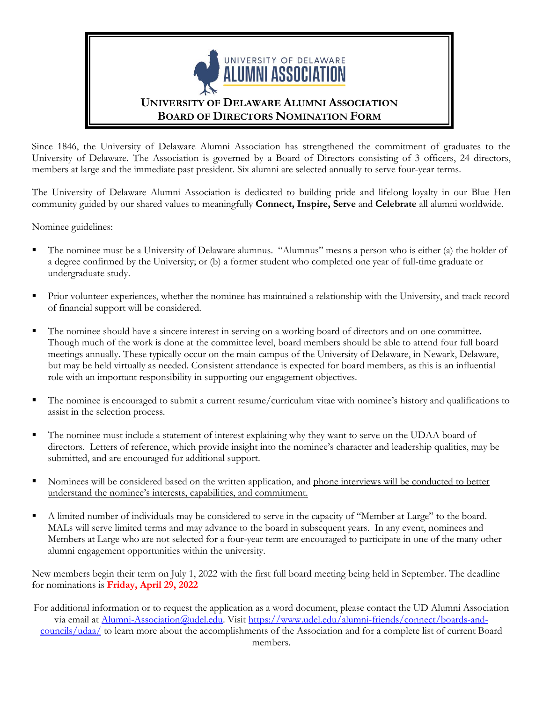

Since 1846, the University of Delaware Alumni Association has strengthened the commitment of graduates to the University of Delaware. The Association is governed by a Board of Directors consisting of 3 officers, 24 directors, members at large and the immediate past president. Six alumni are selected annually to serve four-year terms.

The University of Delaware Alumni Association is dedicated to building pride and lifelong loyalty in our Blue Hen community guided by our shared values to meaningfully **Connect, Inspire, Serve** and **Celebrate** all alumni worldwide.

Nominee guidelines:

- The nominee must be a University of Delaware alumnus. "Alumnus" means a person who is either (a) the holder of a degree confirmed by the University; or (b) a former student who completed one year of full-time graduate or undergraduate study.
- Prior volunteer experiences, whether the nominee has maintained a relationship with the University, and track record of financial support will be considered.
- The nominee should have a sincere interest in serving on a working board of directors and on one committee. Though much of the work is done at the committee level, board members should be able to attend four full board meetings annually. These typically occur on the main campus of the University of Delaware, in Newark, Delaware, but may be held virtually as needed. Consistent attendance is expected for board members, as this is an influential role with an important responsibility in supporting our engagement objectives.
- The nominee is encouraged to submit a current resume/curriculum vitae with nominee's history and qualifications to assist in the selection process.
- The nominee must include a statement of interest explaining why they want to serve on the UDAA board of directors. Letters of reference, which provide insight into the nominee's character and leadership qualities, may be submitted, and are encouraged for additional support.
- Nominees will be considered based on the written application, and phone interviews will be conducted to better understand the nominee's interests, capabilities, and commitment.
- A limited number of individuals may be considered to serve in the capacity of "Member at Large" to the board. MALs will serve limited terms and may advance to the board in subsequent years. In any event, nominees and Members at Large who are not selected for a four-year term are encouraged to participate in one of the many other alumni engagement opportunities within the university.

New members begin their term on July 1, 2022 with the first full board meeting being held in September. The deadline for nominations is **Friday, April 29, 2022**

For additional information or to request the application as a word document, please contact the UD Alumni Association via email at [Alumni-Association@udel.edu.](mailto:Alumni-Association@udel.edu) Visit [https://www.udel.edu/alumni-friends/connect/boards-and](https://www.udel.edu/alumni-friends/connect/boards-and-councils/udaa/)[councils/udaa/](https://www.udel.edu/alumni-friends/connect/boards-and-councils/udaa/) to learn more about the accomplishments of the Association and for a complete list of current Board members.